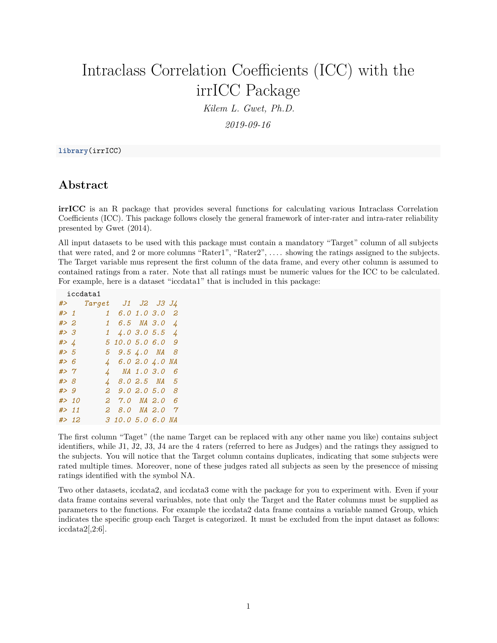# Intraclass Correlation Coefficients (ICC) with the irrICC Package

*Kilem L. Gwet, Ph.D.*

*2019-09-16*

#### **library**(irrICC)

### **Abstract**

**irrICC** is an R package that provides several functions for calculating various Intraclass Correlation Coefficients (ICC). This package follows closely the general framework of inter-rater and intra-rater reliability presented by Gwet (2014).

All input datasets to be used with this package must contain a mandatory "Target" column of all subjects that were rated, and 2 or more columns "Rater1", "Rater2", .... showing the ratings assigned to the subjects. The Target variable mus represent the first column of the data frame, and every other column is assumed to contained ratings from a rater. Note that all ratings must be numeric values for the ICC to be calculated. For example, here is a dataset "iccdata1" that is included in this package:

| iccdata1      |  |                       |                   |                |  |                |
|---------------|--|-----------------------|-------------------|----------------|--|----------------|
|               |  | #> Target J1 J2 J3 J4 |                   |                |  |                |
| #> 1          |  | $1\,$                 |                   | 6.0 1.0 3.0    |  | 2              |
| #> 2          |  | $\mathbf{1}$          |                   | 6.5 NA 3.0     |  | 4              |
| #> 3          |  | 1                     |                   | 4.03.05.5      |  | $\overline{4}$ |
| #> $\sqrt{4}$ |  |                       | 5 10.0 5.0 6.0    |                |  | - 9            |
| # > 5         |  | 5                     |                   | 9.5 4.0 NA     |  | 8              |
| #> 6          |  |                       | 4 6.0 2.0 4.0 NA  |                |  |                |
| #> $\gamma$   |  |                       | 4 NA 1.03.0       |                |  | 6              |
| #> 8          |  |                       | 4 8.0 2.5 NA      |                |  | 5              |
| #> 9          |  | 2                     |                   | 9.02.05.0      |  | 8              |
| #> 10         |  | 2                     |                   | $7.0$ NA $2.0$ |  | 6              |
| #> 11         |  | 2                     |                   | 8.0 NA 2.0     |  | $\tau$         |
| #> 12         |  |                       | 3 10.0 5.0 6.0 NA |                |  |                |

The first column "Taget" (the name Target can be replaced with any other name you like) contains subject identifiers, while J1, J2, J3, J4 are the 4 raters (referred to here as Judges) and the ratings they assigned to the subjects. You will notice that the Target column contains duplicates, indicating that some subjects were rated multiple times. Moreover, none of these judges rated all subjects as seen by the presencce of missing ratings identified with the symbol NA.

Two other datasets, iccdata2, and iccdata3 come with the package for you to experiment with. Even if your data frame contains several variuables, note that only the Target and the Rater columns must be supplied as parameters to the functions. For example the iccdata2 data frame contains a variable named Group, which indicates the specific group each Target is categorized. It must be excluded from the input dataset as follows:  $iccdata2[,2:6].$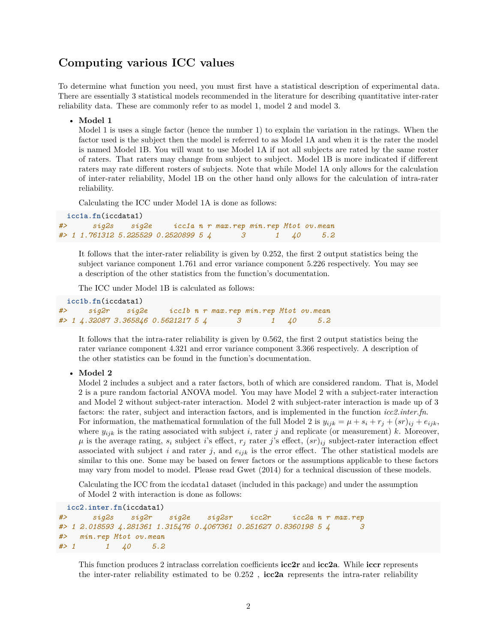#### **Computing various ICC values**

To determine what function you need, you must first have a statistical description of experimental data. There are essentially 3 statistical models recommended in the literature for describing quantitative inter-rater reliability data. These are commonly refer to as model 1, model 2 and model 3.

• **Model 1**

Model 1 is uses a single factor (hence the number 1) to explain the variation in the ratings. When the factor used is the subject then the model is referred to as Model 1A and when it is the rater the model is named Model 1B. You will want to use Model 1A if not all subjects are rated by the same roster of raters. That raters may change from subject to subject. Model 1B is more indicated if different raters may rate different rosters of subjects. Note that while Model 1A only allows for the calculation of inter-rater reliability, Model 1B on the other hand only allows for the calculation of intra-rater reliability.

Calculating the ICC under Model 1A is done as follows:

```
icc1a.fn(iccdata1)
#> sig2s sig2e icc1a n r max.rep min.rep Mtot ov.mean
#> 1 1.761312 5.225529 0.2520899 5 4 3 1 40 5.2
```
It follows that the inter-rater reliability is given by 0.252, the first 2 output statistics being the subject variance component 1.761 and error variance component 5.226 respectively. You may see a description of the other statistics from the function's documentation.

The ICC under Model 1B is calculated as follows:

```
icc1b.fn(iccdata1)
#> sig2r sig2e icc1b n r max.rep min.rep Mtot ov.mean
#> 1 4.32087 3.365846 0.5621217 5 4 3 1 40 5.2
```
It follows that the intra-rater reliability is given by 0.562, the first 2 output statistics being the rater variance component 4.321 and error variance component 3.366 respectively. A description of the other statistics can be found in the function's documentation.

#### • **Model 2**

Model 2 includes a subject and a rater factors, both of which are considered random. That is, Model 2 is a pure random factorial ANOVA model. You may have Model 2 with a subject-rater interaction and Model 2 without subject-rater interaction. Model 2 with subject-rater interaction is made up of 3 factors: the rater, subject and interaction factors, and is implemented in the function *icc2.inter.fn*. For information, the mathematical formulation of the full Model 2 is  $y_{ijk} = \mu + s_i + r_j + (sr)_{ij} + e_{ijk}$ , where  $y_{ijk}$  is the rating associated with subject *i*, rater *j* and replicate (or measurement) *k*. Moreover,  $\mu$  is the average rating,  $s_i$  subject *i*'s effect,  $r_j$  rater *j*'s effect,  $(sr)_{ij}$  subject-rater interaction effect associated with subject  $i$  and rater  $j$ , and  $e_{ijk}$  is the error effect. The other statistical models are similar to this one. Some may be based on fewer factors or the assumptions applicable to these factors may vary from model to model. Please read Gwet (2014) for a technical discussion of these models.

Calculating the ICC from the iccdata1 dataset (included in this package) and under the assumption of Model 2 with interaction is done as follows:

```
icc2.inter.fn(iccdata1)
#> sig2s sig2r sig2e sig2sr icc2r icc2a n r max.rep
#> 1 2.018593 4.281361 1.315476 0.4067361 0.251627 0.8360198 5 4 3
#> min.rep Mtot ov.mean
#> 1 1 40 5.2
```
This function produces 2 intraclass correlation coefficients **icc2r** and **icc2a**. While **iccr** represents the inter-rater reliability estimated to be 0.252 , **icc2a** represents the intra-rater reliability